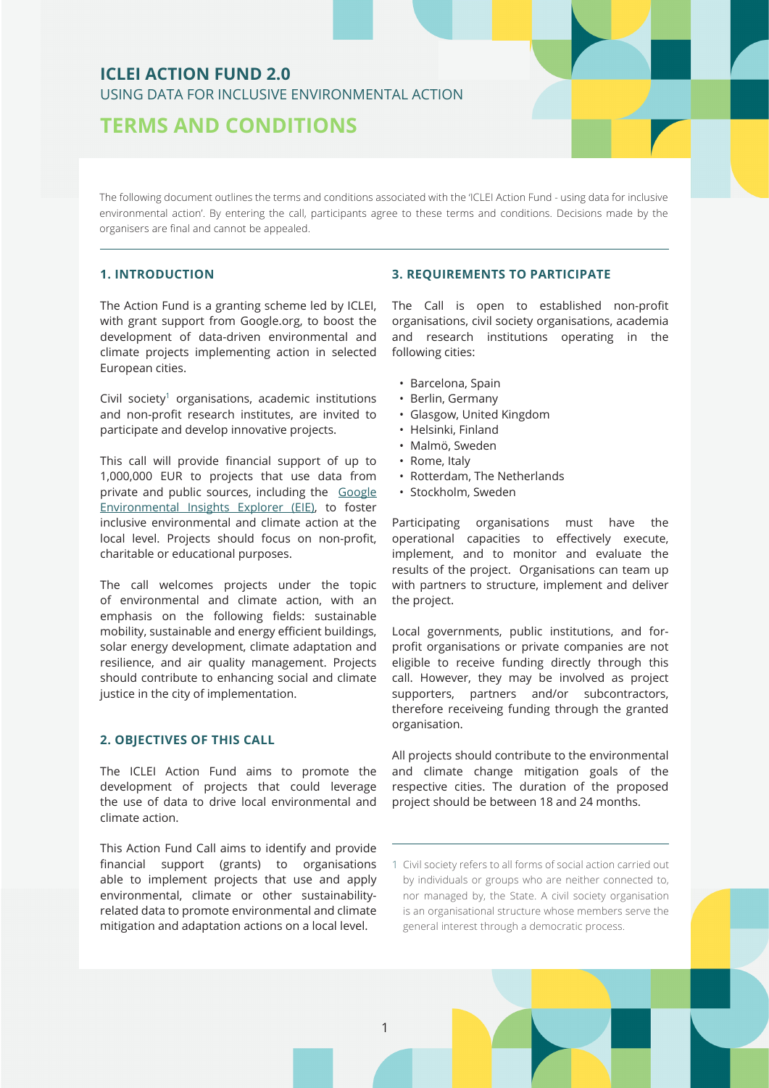USING DATA FOR INCLUSIVE ENVIRONMENTAL ACTION

# **TERMS AND CONDITIONS**

The following document outlines the terms and conditions associated with the 'ICLEI Action Fund - using data for inclusive environmental action'. By entering the call, participants agree to these terms and conditions. Decisions made by the organisers are final and cannot be appealed.

### **1. INTRODUCTION**

The Action Fund is a granting scheme led by ICLEI, with grant support from Google.org, to boost the development of data-driven environmental and climate projects implementing action in selected European cities.

Civil society $1$  organisations, academic institutions and non-profit research institutes, are invited to participate and develop innovative projects.

This call will provide financial support of up to 1,000,000 EUR to projects that use data from private and public sources, including the [Google](https://insights.sustainability.google/)  [Environmental Insights Explorer](https://insights.sustainability.google/) (EIE), to foster inclusive environmental and climate action at the local level. Projects should focus on non-profit, charitable or educational purposes.

The call welcomes projects under the topic of environmental and climate action, with an emphasis on the following fields: sustainable mobility, sustainable and energy efficient buildings, solar energy development, climate adaptation and resilience, and air quality management. Projects should contribute to enhancing social and climate justice in the city of implementation.

### **2. OBJECTIVES OF THIS CALL**

The ICLEI Action Fund aims to promote the development of projects that could leverage the use of data to drive local environmental and climate action.

This Action Fund Call aims to identify and provide financial support (grants) to organisations able to implement projects that use and apply environmental, climate or other sustainabilityrelated data to promote environmental and climate mitigation and adaptation actions on a local level.

### **3. REQUIREMENTS TO PARTICIPATE**

The Call is open to established non-profit organisations, civil society organisations, academia and research institutions operating in the following cities:

- Barcelona, Spain
- Berlin, Germany
- Glasgow, United Kingdom
- Helsinki, Finland
- Malmö, Sweden
- Rome, Italy
- Rotterdam, The Netherlands
- Stockholm, Sweden

Participating organisations must have the operational capacities to effectively execute, implement, and to monitor and evaluate the results of the project. Organisations can team up with partners to structure, implement and deliver the project.

Local governments, public institutions, and forprofit organisations or private companies are not eligible to receive funding directly through this call. However, they may be involved as project supporters, partners and/or subcontractors, therefore receiveing funding through the granted organisation.

All projects should contribute to the environmental and climate change mitigation goals of the respective cities. The duration of the proposed project should be between 18 and 24 months.



<sup>1</sup> Civil society refers to all forms of social action carried out by individuals or groups who are neither connected to, nor managed by, the State. A civil society organisation is an organisational structure whose members serve the general interest through a democratic process.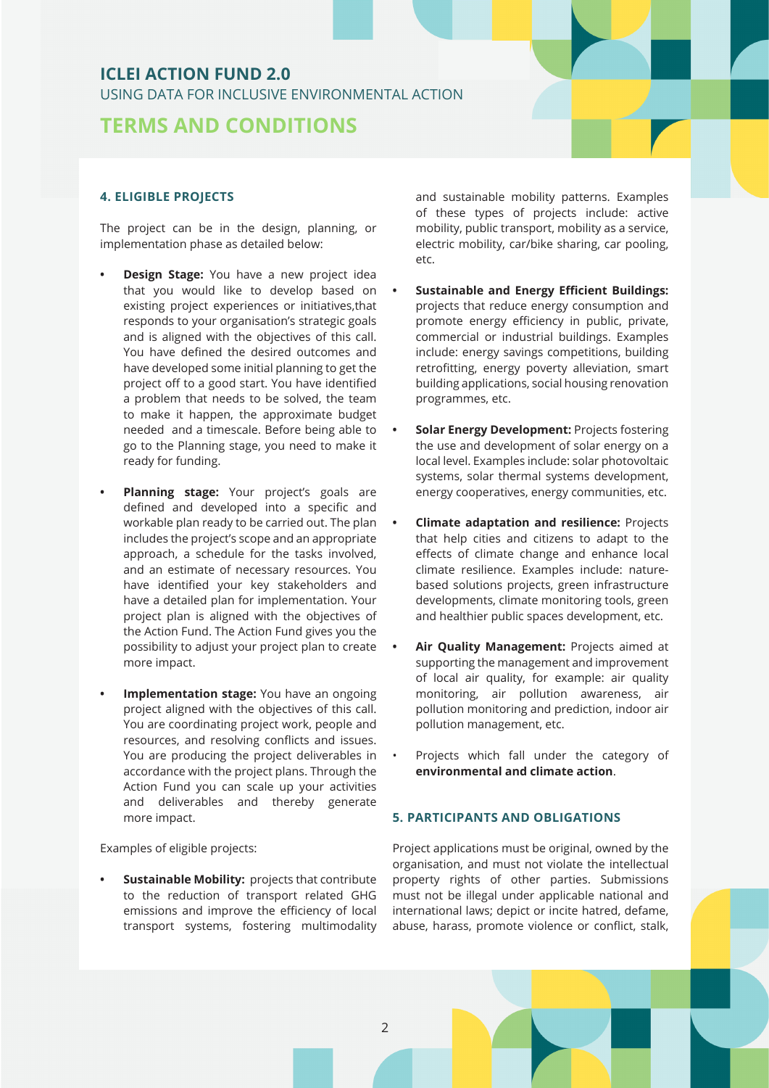USING DATA FOR INCLUSIVE ENVIRONMENTAL ACTION

# **TERMS AND CONDITIONS**

### **4. ELIGIBLE PROJECTS**

The project can be in the design, planning, or implementation phase as detailed below:

- **• Design Stage:** You have a new project idea that you would like to develop based on existing project experiences or initiatives,that responds to your organisation's strategic goals and is aligned with the objectives of this call. You have defined the desired outcomes and have developed some initial planning to get the project off to a good start. You have identified a problem that needs to be solved, the team to make it happen, the approximate budget needed and a timescale. Before being able to go to the Planning stage, you need to make it ready for funding.
- **• Planning stage:** Your project's goals are defined and developed into a specific and workable plan ready to be carried out. The plan includes the project's scope and an appropriate approach, a schedule for the tasks involved, and an estimate of necessary resources. You have identified your key stakeholders and have a detailed plan for implementation. Your project plan is aligned with the objectives of the Action Fund. The Action Fund gives you the possibility to adjust your project plan to create more impact.
- **• Implementation stage:** You have an ongoing project aligned with the objectives of this call. You are coordinating project work, people and resources, and resolving conflicts and issues. You are producing the project deliverables in accordance with the project plans. Through the Action Fund you can scale up your activities and deliverables and thereby generate more impact.

Examples of eligible projects:

**• Sustainable Mobility:** projects that contribute to the reduction of transport related GHG emissions and improve the efficiency of local transport systems, fostering multimodality

and sustainable mobility patterns. Examples of these types of projects include: active mobility, public transport, mobility as a service, electric mobility, car/bike sharing, car pooling, etc.

- **• Sustainable and Energy Efficient Buildings:**  projects that reduce energy consumption and promote energy efficiency in public, private, commercial or industrial buildings. Examples include: energy savings competitions, building retrofitting, energy poverty alleviation, smart building applications, social housing renovation programmes, etc.
- **• Solar Energy Development:** Projects fostering the use and development of solar energy on a local level. Examples include: solar photovoltaic systems, solar thermal systems development, energy cooperatives, energy communities, etc.
- **• Climate adaptation and resilience:** Projects that help cities and citizens to adapt to the effects of climate change and enhance local climate resilience. Examples include: naturebased solutions projects, green infrastructure developments, climate monitoring tools, green and healthier public spaces development, etc.
- **• Air Quality Management:** Projects aimed at supporting the management and improvement of local air quality, for example: air quality monitoring, air pollution awareness, air pollution monitoring and prediction, indoor air pollution management, etc.
- Projects which fall under the category of **environmental and climate action**.

### **5. PARTICIPANTS AND OBLIGATIONS**

 $\overline{2}$ 

Project applications must be original, owned by the organisation, and must not violate the intellectual property rights of other parties. Submissions must not be illegal under applicable national and international laws; depict or incite hatred, defame, abuse, harass, promote violence or conflict, stalk,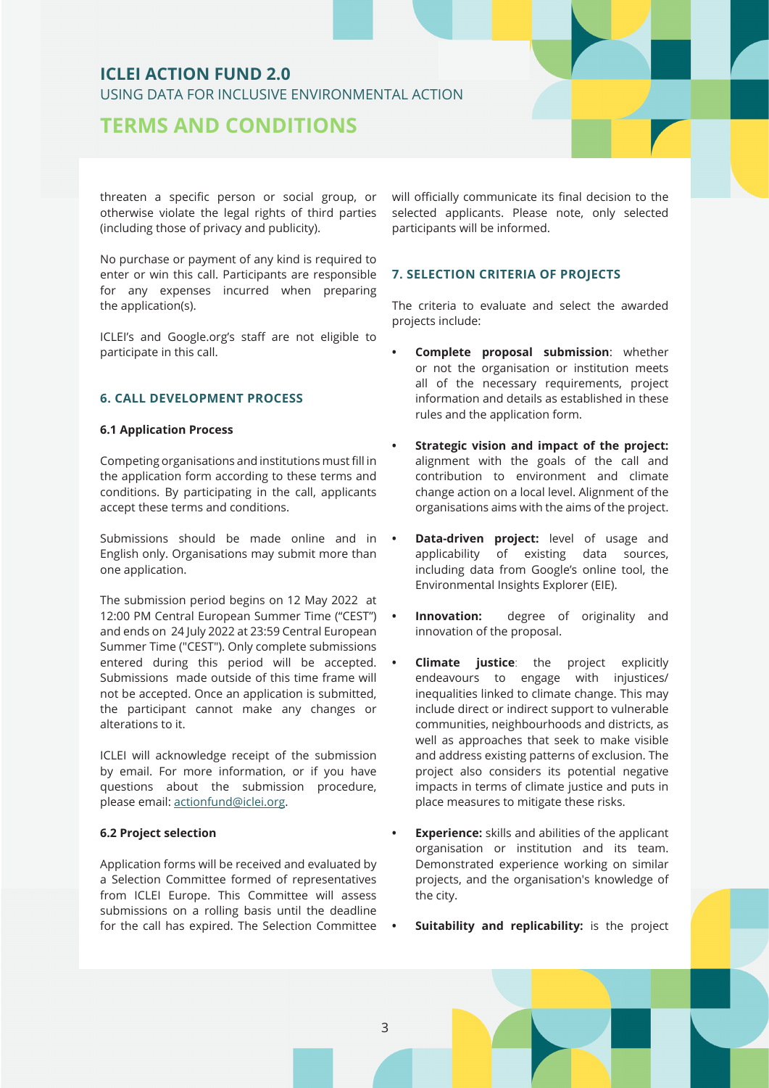USING DATA FOR INCLUSIVE ENVIRONMENTAL ACTION

# **TERMS AND CONDITIONS**

threaten a specific person or social group, or otherwise violate the legal rights of third parties (including those of privacy and publicity).

No purchase or payment of any kind is required to enter or win this call. Participants are responsible for any expenses incurred when preparing the application(s).

ICLEI's and Google.org's staff are not eligible to participate in this call.

### **6. CALL DEVELOPMENT PROCESS**

### **6.1 Application Process**

Competing organisations and institutions must fill in the application form according to these terms and conditions. By participating in the call, applicants accept these terms and conditions.

Submissions should be made online and in English only. Organisations may submit more than one application.

The submission period begins on 12 May 2022 at 12:00 PM Central European Summer Time ("CEST") and ends on 24 July 2022 at 23:59 Central European Summer Time ("CEST"). Only complete submissions entered during this period will be accepted. Submissions made outside of this time frame will not be accepted. Once an application is submitted, the participant cannot make any changes or alterations to it.

ICLEI will acknowledge receipt of the submission by email. For more information, or if you have questions about the submission procedure, please email: [actionfund@iclei.org.](mailto:actionfund%40iclei.org?subject=)

### **6.2 Project selection**

Application forms will be received and evaluated by a Selection Committee formed of representatives from ICLEI Europe. This Committee will assess submissions on a rolling basis until the deadline for the call has expired. The Selection Committee will officially communicate its final decision to the selected applicants. Please note, only selected participants will be informed.

### **7. SELECTION CRITERIA OF PROJECTS**

The criteria to evaluate and select the awarded projects include:

- **• Complete proposal submission**: whether or not the organisation or institution meets all of the necessary requirements, project information and details as established in these rules and the application form.
- **• Strategic vision and impact of the project:** alignment with the goals of the call and contribution to environment and climate change action on a local level. Alignment of the organisations aims with the aims of the project.
- **• Data-driven project:** level of usage and applicability of existing data sources, including data from Google's online tool, the Environmental Insights Explorer (EIE).
- **• Innovation:** degree of originality and innovation of the proposal.
- **• Climate justice**: the project explicitly endeavours to engage with injustices/ inequalities linked to climate change. This may include direct or indirect support to vulnerable communities, neighbourhoods and districts, as well as approaches that seek to make visible and address existing patterns of exclusion. The project also considers its potential negative impacts in terms of climate justice and puts in place measures to mitigate these risks.
- **Experience:** skills and abilities of the applicant organisation or institution and its team. Demonstrated experience working on similar projects, and the organisation's knowledge of the city.
	- **Suitability and replicability:** is the project

3